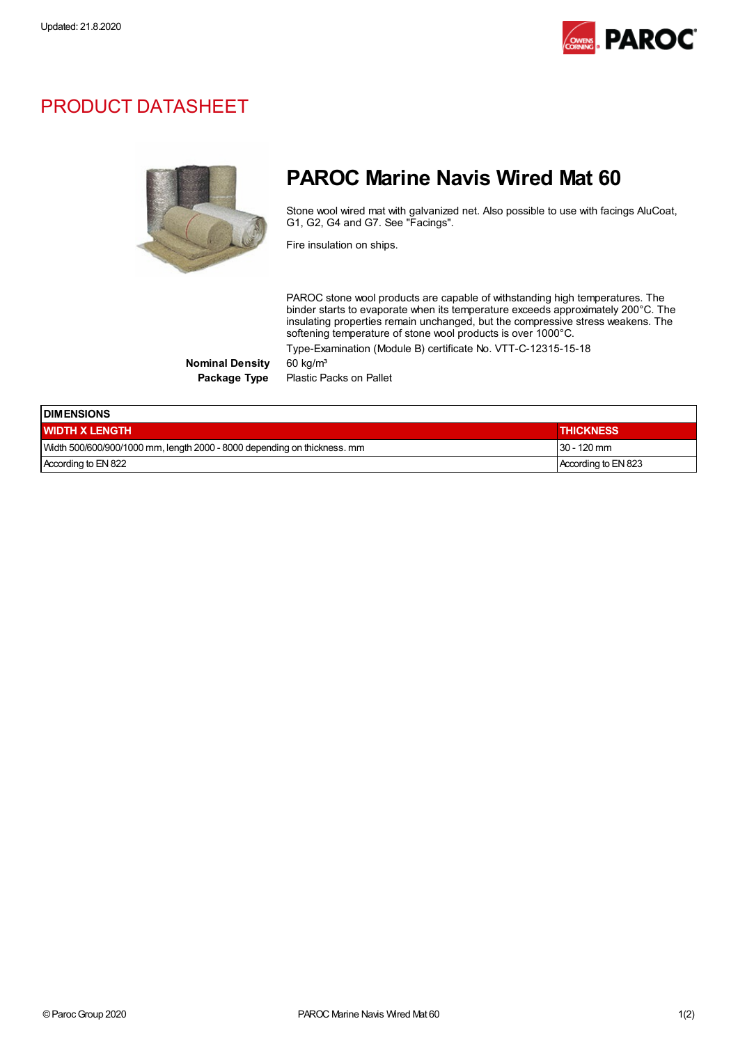

## PRODUCT DATASHEET



## PAROC Marine Navis Wired Mat 60

Stone wool wired mat with galvanized net. Also possible to use with facings AluCoat, G1, G2, G4 and G7. See "Facings".

Fire insulation on ships.

PAROC stone wool products are capable of withstanding high temperatures. The binder starts to evaporate when its temperature exceeds approximately 200°C. The insulating properties remain unchanged, but the compressive stress weakens. The softening temperature of stone wool products is over 1000°C. Type-Examination (Module B) certificate No. VTT-C-12315-15-18

Nominal Density 60 kg/m<sup>3</sup>

Package Type Plastic Packs on Pallet

| <b>IDIMENSIONS</b>                                                       |                     |  |
|--------------------------------------------------------------------------|---------------------|--|
| <b>WIDTH X LENGTH</b>                                                    | <b>THICKNESS</b>    |  |
| Width 500/600/900/1000 mm, length 2000 - 8000 depending on thickness. mm | $30 - 120$ mm       |  |
| According to EN 822                                                      | According to EN 823 |  |